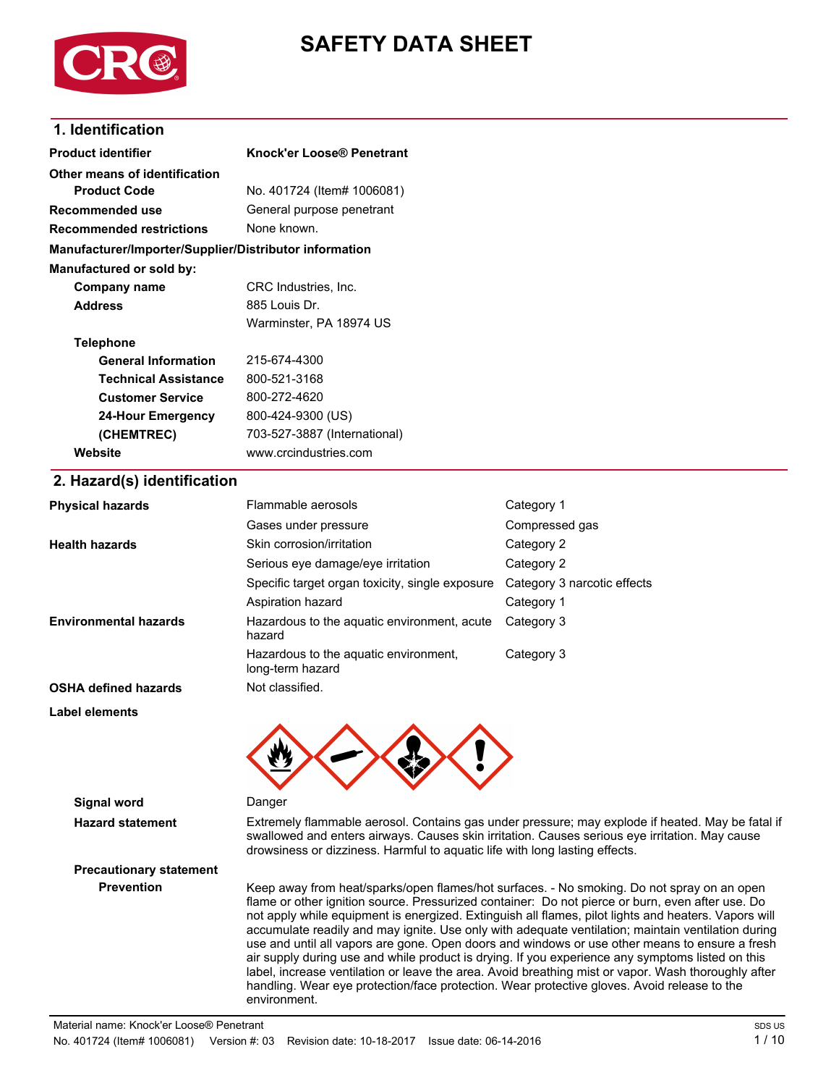

# **SAFETY DATA SHEET**

## **1. Identification**

| <b>Product identifier</b>                              | Knock'er Loose® Penetrant                                                                                                                                                                                                                                                         |                                                                                            |
|--------------------------------------------------------|-----------------------------------------------------------------------------------------------------------------------------------------------------------------------------------------------------------------------------------------------------------------------------------|--------------------------------------------------------------------------------------------|
| Other means of identification                          |                                                                                                                                                                                                                                                                                   |                                                                                            |
| <b>Product Code</b>                                    | No. 401724 (Item# 1006081)                                                                                                                                                                                                                                                        |                                                                                            |
| <b>Recommended use</b>                                 | General purpose penetrant                                                                                                                                                                                                                                                         |                                                                                            |
| <b>Recommended restrictions</b>                        | None known.                                                                                                                                                                                                                                                                       |                                                                                            |
| Manufacturer/Importer/Supplier/Distributor information |                                                                                                                                                                                                                                                                                   |                                                                                            |
| Manufactured or sold by:                               |                                                                                                                                                                                                                                                                                   |                                                                                            |
| <b>Company name</b>                                    | CRC Industries, Inc.                                                                                                                                                                                                                                                              |                                                                                            |
| <b>Address</b>                                         | 885 Louis Dr.                                                                                                                                                                                                                                                                     |                                                                                            |
|                                                        | Warminster, PA 18974 US                                                                                                                                                                                                                                                           |                                                                                            |
| <b>Telephone</b>                                       |                                                                                                                                                                                                                                                                                   |                                                                                            |
| <b>General Information</b>                             | 215-674-4300                                                                                                                                                                                                                                                                      |                                                                                            |
| <b>Technical Assistance</b>                            | 800-521-3168                                                                                                                                                                                                                                                                      |                                                                                            |
| <b>Customer Service</b>                                | 800-272-4620                                                                                                                                                                                                                                                                      |                                                                                            |
| <b>24-Hour Emergency</b>                               | 800-424-9300 (US)                                                                                                                                                                                                                                                                 |                                                                                            |
| (CHEMTREC)                                             | 703-527-3887 (International)                                                                                                                                                                                                                                                      |                                                                                            |
| Website                                                | www.crcindustries.com                                                                                                                                                                                                                                                             |                                                                                            |
| 2. Hazard(s) identification                            |                                                                                                                                                                                                                                                                                   |                                                                                            |
| <b>Physical hazards</b>                                | Flammable aerosols                                                                                                                                                                                                                                                                | Category 1                                                                                 |
|                                                        | Gases under pressure                                                                                                                                                                                                                                                              | Compressed gas                                                                             |
| <b>Health hazards</b>                                  | Skin corrosion/irritation                                                                                                                                                                                                                                                         | Category 2                                                                                 |
|                                                        | Serious eye damage/eye irritation                                                                                                                                                                                                                                                 | Category 2                                                                                 |
|                                                        | Specific target organ toxicity, single exposure                                                                                                                                                                                                                                   | Category 3 narcotic effects                                                                |
|                                                        | Aspiration hazard                                                                                                                                                                                                                                                                 | Category 1                                                                                 |
| <b>Environmental hazards</b>                           | Hazardous to the aquatic environment, acute<br>hazard                                                                                                                                                                                                                             | Category 3                                                                                 |
|                                                        | Hazardous to the aquatic environment,<br>long-term hazard                                                                                                                                                                                                                         | Category 3                                                                                 |
| <b>OSHA defined hazards</b>                            | Not classified.                                                                                                                                                                                                                                                                   |                                                                                            |
| <b>Label elements</b>                                  |                                                                                                                                                                                                                                                                                   |                                                                                            |
|                                                        |                                                                                                                                                                                                                                                                                   |                                                                                            |
| <b>Signal word</b>                                     | Danger                                                                                                                                                                                                                                                                            |                                                                                            |
| <b>Hazard statement</b>                                | Extremely flammable aerosol. Contains gas under pressure; may explode if heated. May be fatal if<br>swallowed and enters airways. Causes skin irritation. Causes serious eye irritation. May cause<br>drowsiness or dizziness. Harmful to aquatic life with long lasting effects. |                                                                                            |
| <b>Precautionary statement</b>                         |                                                                                                                                                                                                                                                                                   |                                                                                            |
| <b>Prevention</b>                                      |                                                                                                                                                                                                                                                                                   | Keep away from heat/sparks/open flames/hot surfaces. - No smoking. Do not spray on an open |

flame or other ignition source. Pressurized container: Do not pierce or burn, even after use. Do not apply while equipment is energized. Extinguish all flames, pilot lights and heaters. Vapors will accumulate readily and may ignite. Use only with adequate ventilation; maintain ventilation during use and until all vapors are gone. Open doors and windows or use other means to ensure a fresh air supply during use and while product is drying. If you experience any symptoms listed on this label, increase ventilation or leave the area. Avoid breathing mist or vapor. Wash thoroughly after handling. Wear eye protection/face protection. Wear protective gloves. Avoid release to the environment.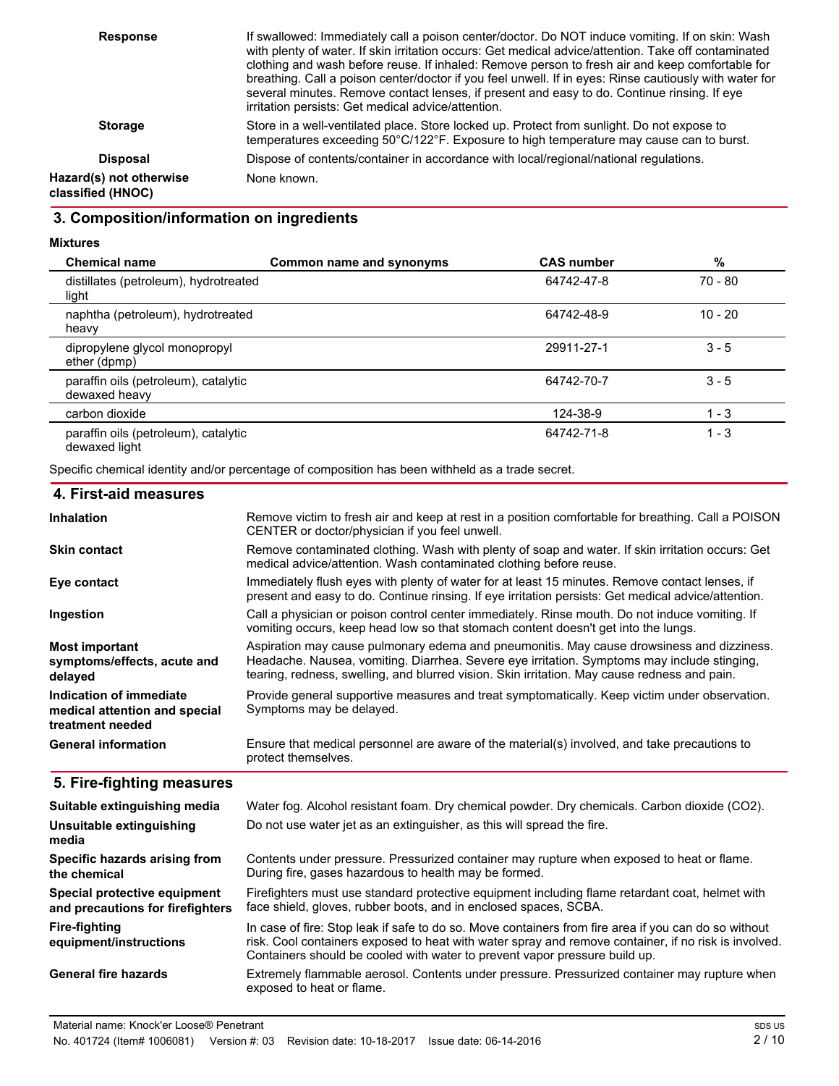| <b>Response</b>                              | If swallowed: Immediately call a poison center/doctor. Do NOT induce vomiting. If on skin: Wash<br>with plenty of water. If skin irritation occurs: Get medical advice/attention. Take off contaminated<br>clothing and wash before reuse. If inhaled: Remove person to fresh air and keep comfortable for<br>breathing. Call a poison center/doctor if you feel unwell. If in eyes: Rinse cautiously with water for<br>several minutes. Remove contact lenses, if present and easy to do. Continue rinsing. If eye<br>irritation persists: Get medical advice/attention. |
|----------------------------------------------|---------------------------------------------------------------------------------------------------------------------------------------------------------------------------------------------------------------------------------------------------------------------------------------------------------------------------------------------------------------------------------------------------------------------------------------------------------------------------------------------------------------------------------------------------------------------------|
| <b>Storage</b>                               | Store in a well-ventilated place. Store locked up. Protect from sunlight. Do not expose to<br>temperatures exceeding 50°C/122°F. Exposure to high temperature may cause can to burst.                                                                                                                                                                                                                                                                                                                                                                                     |
| <b>Disposal</b>                              | Dispose of contents/container in accordance with local/regional/national regulations.                                                                                                                                                                                                                                                                                                                                                                                                                                                                                     |
| Hazard(s) not otherwise<br>classified (HNOC) | None known.                                                                                                                                                                                                                                                                                                                                                                                                                                                                                                                                                               |

## **3. Composition/information on ingredients**

**Mixtures**

| <b>Chemical name</b>                                  | Common name and synonyms | <b>CAS number</b> | %         |
|-------------------------------------------------------|--------------------------|-------------------|-----------|
| distillates (petroleum), hydrotreated<br>light        |                          | 64742-47-8        | 70 - 80   |
| naphtha (petroleum), hydrotreated<br>heavy            |                          | 64742-48-9        | $10 - 20$ |
| dipropylene glycol monopropyl<br>ether (dpmp)         |                          | 29911-27-1        | $3 - 5$   |
| paraffin oils (petroleum), catalytic<br>dewaxed heavy |                          | 64742-70-7        | $3 - 5$   |
| carbon dioxide                                        |                          | 124-38-9          | $1 - 3$   |
| paraffin oils (petroleum), catalytic<br>dewaxed light |                          | 64742-71-8        | $1 - 3$   |

Specific chemical identity and/or percentage of composition has been withheld as a trade secret.

| 4. First-aid measures                                                        |                                                                                                                                                                                                                                                                                          |
|------------------------------------------------------------------------------|------------------------------------------------------------------------------------------------------------------------------------------------------------------------------------------------------------------------------------------------------------------------------------------|
| <b>Inhalation</b>                                                            | Remove victim to fresh air and keep at rest in a position comfortable for breathing. Call a POISON<br>CENTER or doctor/physician if you feel unwell.                                                                                                                                     |
| <b>Skin contact</b>                                                          | Remove contaminated clothing. Wash with plenty of soap and water. If skin irritation occurs: Get<br>medical advice/attention. Wash contaminated clothing before reuse.                                                                                                                   |
| Eye contact                                                                  | Immediately flush eyes with plenty of water for at least 15 minutes. Remove contact lenses, if<br>present and easy to do. Continue rinsing. If eye irritation persists: Get medical advice/attention.                                                                                    |
| Ingestion                                                                    | Call a physician or poison control center immediately. Rinse mouth. Do not induce vomiting. If<br>vomiting occurs, keep head low so that stomach content doesn't get into the lungs.                                                                                                     |
| <b>Most important</b><br>symptoms/effects, acute and<br>delayed              | Aspiration may cause pulmonary edema and pneumonitis. May cause drowsiness and dizziness.<br>Headache. Nausea, vomiting. Diarrhea. Severe eye irritation. Symptoms may include stinging,<br>tearing, redness, swelling, and blurred vision. Skin irritation. May cause redness and pain. |
| Indication of immediate<br>medical attention and special<br>treatment needed | Provide general supportive measures and treat symptomatically. Keep victim under observation.<br>Symptoms may be delayed.                                                                                                                                                                |
| <b>General information</b>                                                   | Ensure that medical personnel are aware of the material(s) involved, and take precautions to<br>protect themselves.                                                                                                                                                                      |

## **5. Fire-fighting measures**

| Suitable extinguishing media                                     | Water fog. Alcohol resistant foam. Dry chemical powder. Dry chemicals. Carbon dioxide (CO2).                                                                                                                                                                                               |
|------------------------------------------------------------------|--------------------------------------------------------------------------------------------------------------------------------------------------------------------------------------------------------------------------------------------------------------------------------------------|
| <b>Unsuitable extinguishing</b><br>media                         | Do not use water jet as an extinguisher, as this will spread the fire.                                                                                                                                                                                                                     |
| Specific hazards arising from<br>the chemical                    | Contents under pressure. Pressurized container may rupture when exposed to heat or flame.<br>During fire, gases hazardous to health may be formed.                                                                                                                                         |
| Special protective equipment<br>and precautions for firefighters | Firefighters must use standard protective equipment including flame retardant coat, helmet with<br>face shield, gloves, rubber boots, and in enclosed spaces, SCBA.                                                                                                                        |
| Fire-fighting<br>equipment/instructions                          | In case of fire: Stop leak if safe to do so. Move containers from fire area if you can do so without<br>risk. Cool containers exposed to heat with water spray and remove container, if no risk is involved.<br>Containers should be cooled with water to prevent vapor pressure build up. |
| General fire hazards                                             | Extremely flammable aerosol. Contents under pressure. Pressurized container may rupture when<br>exposed to heat or flame.                                                                                                                                                                  |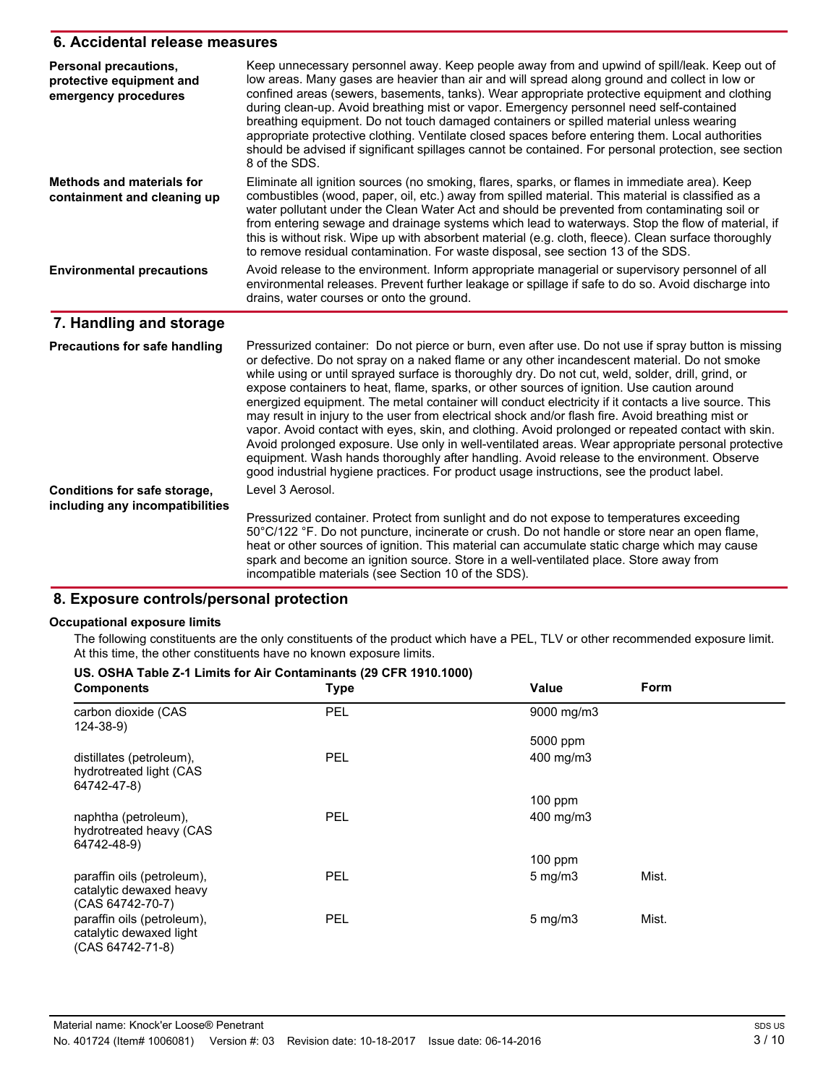#### **6. Accidental release measures**

| Personal precautions,<br>protective equipment and<br>emergency procedures | Keep unnecessary personnel away. Keep people away from and upwind of spill/leak. Keep out of<br>low areas. Many gases are heavier than air and will spread along ground and collect in low or<br>confined areas (sewers, basements, tanks). Wear appropriate protective equipment and clothing<br>during clean-up. Avoid breathing mist or vapor. Emergency personnel need self-contained<br>breathing equipment. Do not touch damaged containers or spilled material unless wearing<br>appropriate protective clothing. Ventilate closed spaces before entering them. Local authorities<br>should be advised if significant spillages cannot be contained. For personal protection, see section<br>8 of the SDS.                                                                                                                                                                                                                                                                                                          |
|---------------------------------------------------------------------------|----------------------------------------------------------------------------------------------------------------------------------------------------------------------------------------------------------------------------------------------------------------------------------------------------------------------------------------------------------------------------------------------------------------------------------------------------------------------------------------------------------------------------------------------------------------------------------------------------------------------------------------------------------------------------------------------------------------------------------------------------------------------------------------------------------------------------------------------------------------------------------------------------------------------------------------------------------------------------------------------------------------------------|
| <b>Methods and materials for</b><br>containment and cleaning up           | Eliminate all ignition sources (no smoking, flares, sparks, or flames in immediate area). Keep<br>combustibles (wood, paper, oil, etc.) away from spilled material. This material is classified as a<br>water pollutant under the Clean Water Act and should be prevented from contaminating soil or<br>from entering sewage and drainage systems which lead to waterways. Stop the flow of material, if<br>this is without risk. Wipe up with absorbent material (e.g. cloth, fleece). Clean surface thoroughly<br>to remove residual contamination. For waste disposal, see section 13 of the SDS.                                                                                                                                                                                                                                                                                                                                                                                                                       |
| <b>Environmental precautions</b>                                          | Avoid release to the environment. Inform appropriate managerial or supervisory personnel of all<br>environmental releases. Prevent further leakage or spillage if safe to do so. Avoid discharge into<br>drains, water courses or onto the ground.                                                                                                                                                                                                                                                                                                                                                                                                                                                                                                                                                                                                                                                                                                                                                                         |
| 7. Handling and storage                                                   |                                                                                                                                                                                                                                                                                                                                                                                                                                                                                                                                                                                                                                                                                                                                                                                                                                                                                                                                                                                                                            |
| <b>Precautions for safe handling</b>                                      | Pressurized container: Do not pierce or burn, even after use. Do not use if spray button is missing<br>or defective. Do not spray on a naked flame or any other incandescent material. Do not smoke<br>while using or until sprayed surface is thoroughly dry. Do not cut, weld, solder, drill, grind, or<br>expose containers to heat, flame, sparks, or other sources of ignition. Use caution around<br>energized equipment. The metal container will conduct electricity if it contacts a live source. This<br>may result in injury to the user from electrical shock and/or flash fire. Avoid breathing mist or<br>vapor. Avoid contact with eyes, skin, and clothing. Avoid prolonged or repeated contact with skin.<br>Avoid prolonged exposure. Use only in well-ventilated areas. Wear appropriate personal protective<br>equipment. Wash hands thoroughly after handling. Avoid release to the environment. Observe<br>good industrial hygiene practices. For product usage instructions, see the product label. |
| Conditions for safe storage,                                              | Level 3 Aerosol.                                                                                                                                                                                                                                                                                                                                                                                                                                                                                                                                                                                                                                                                                                                                                                                                                                                                                                                                                                                                           |
| including any incompatibilities                                           | Pressurized container. Protect from sunlight and do not expose to temperatures exceeding<br>50°C/122 °F. Do not puncture, incinerate or crush. Do not handle or store near an open flame,<br>heat or other sources of ignition. This material can accumulate static charge which may cause<br>spark and become an ignition source. Store in a well-ventilated place. Store away from<br>incompatible materials (see Section 10 of the SDS).                                                                                                                                                                                                                                                                                                                                                                                                                                                                                                                                                                                |

## **8. Exposure controls/personal protection**

#### **Occupational exposure limits**

The following constituents are the only constituents of the product which have a PEL, TLV or other recommended exposure limit. At this time, the other constituents have no known exposure limits.

| US. OSHA Table Z-1 Limits for Air Contaminants (29 CFR 1910.1000)         |             |                  |             |  |
|---------------------------------------------------------------------------|-------------|------------------|-------------|--|
| <b>Components</b>                                                         | <b>Type</b> | Value            | <b>Form</b> |  |
| carbon dioxide (CAS<br>$124 - 38 - 9$                                     | PEL         | 9000 mg/m3       |             |  |
|                                                                           |             | 5000 ppm         |             |  |
| distillates (petroleum),<br>hydrotreated light (CAS<br>64742-47-8)        | <b>PEL</b>  | 400 mg/m3        |             |  |
|                                                                           |             | $100$ ppm        |             |  |
| naphtha (petroleum),<br>hydrotreated heavy (CAS<br>64742-48-9)            | <b>PEL</b>  | 400 mg/m3        |             |  |
|                                                                           |             | 100 ppm          |             |  |
| paraffin oils (petroleum),<br>catalytic dewaxed heavy<br>(CAS 64742-70-7) | <b>PEL</b>  | $5 \text{ mg/m}$ | Mist.       |  |
| paraffin oils (petroleum),<br>catalytic dewaxed light<br>(CAS 64742-71-8) | <b>PEL</b>  | $5 \text{ mg/m}$ | Mist.       |  |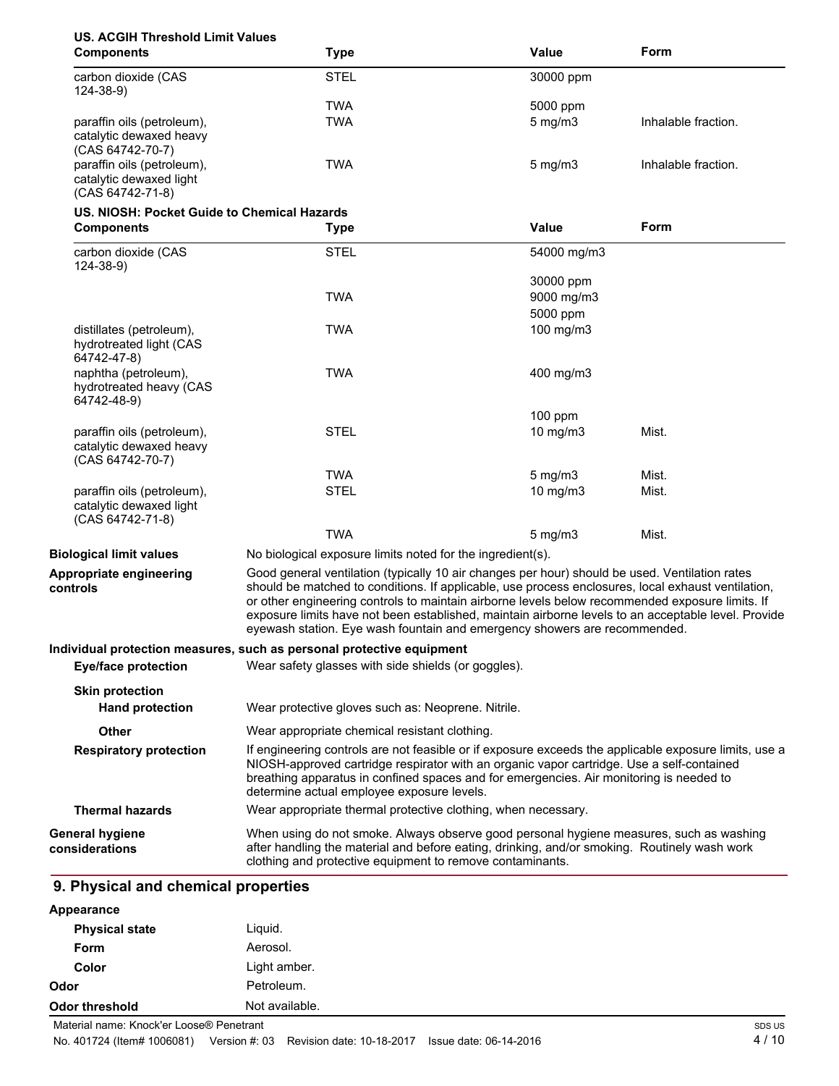## **US. ACGIH Threshold Limit Values**

| <b>Components</b>                                                         | <b>Type</b>                                                                                                                                                                                                                                                                                                                                                                                                                                                                                 | Value         | Form                |
|---------------------------------------------------------------------------|---------------------------------------------------------------------------------------------------------------------------------------------------------------------------------------------------------------------------------------------------------------------------------------------------------------------------------------------------------------------------------------------------------------------------------------------------------------------------------------------|---------------|---------------------|
| carbon dioxide (CAS<br>$124 - 38 - 9$                                     | <b>STEL</b>                                                                                                                                                                                                                                                                                                                                                                                                                                                                                 | 30000 ppm     |                     |
|                                                                           | <b>TWA</b>                                                                                                                                                                                                                                                                                                                                                                                                                                                                                  | 5000 ppm      |                     |
| paraffin oils (petroleum),<br>catalytic dewaxed heavy<br>(CAS 64742-70-7) | <b>TWA</b>                                                                                                                                                                                                                                                                                                                                                                                                                                                                                  | $5$ mg/m $3$  | Inhalable fraction. |
| paraffin oils (petroleum),<br>catalytic dewaxed light<br>(CAS 64742-71-8) | <b>TWA</b>                                                                                                                                                                                                                                                                                                                                                                                                                                                                                  | $5$ mg/m $3$  | Inhalable fraction. |
| US. NIOSH: Pocket Guide to Chemical Hazards                               |                                                                                                                                                                                                                                                                                                                                                                                                                                                                                             |               |                     |
| <b>Components</b>                                                         | <b>Type</b>                                                                                                                                                                                                                                                                                                                                                                                                                                                                                 | Value         | Form                |
| carbon dioxide (CAS<br>$124 - 38 - 9$                                     | <b>STEL</b>                                                                                                                                                                                                                                                                                                                                                                                                                                                                                 | 54000 mg/m3   |                     |
|                                                                           |                                                                                                                                                                                                                                                                                                                                                                                                                                                                                             | 30000 ppm     |                     |
|                                                                           | <b>TWA</b>                                                                                                                                                                                                                                                                                                                                                                                                                                                                                  | 9000 mg/m3    |                     |
|                                                                           |                                                                                                                                                                                                                                                                                                                                                                                                                                                                                             | 5000 ppm      |                     |
| distillates (petroleum),<br>hydrotreated light (CAS<br>64742-47-8)        | <b>TWA</b>                                                                                                                                                                                                                                                                                                                                                                                                                                                                                  | 100 mg/m3     |                     |
| naphtha (petroleum),<br>hydrotreated heavy (CAS<br>64742-48-9)            | <b>TWA</b>                                                                                                                                                                                                                                                                                                                                                                                                                                                                                  | 400 mg/m3     |                     |
|                                                                           |                                                                                                                                                                                                                                                                                                                                                                                                                                                                                             | 100 ppm       |                     |
| paraffin oils (petroleum),<br>catalytic dewaxed heavy<br>(CAS 64742-70-7) | <b>STEL</b>                                                                                                                                                                                                                                                                                                                                                                                                                                                                                 | $10$ mg/m $3$ | Mist.               |
|                                                                           | <b>TWA</b>                                                                                                                                                                                                                                                                                                                                                                                                                                                                                  | $5$ mg/m $3$  | Mist.               |
| paraffin oils (petroleum),<br>catalytic dewaxed light<br>(CAS 64742-71-8) | <b>STEL</b>                                                                                                                                                                                                                                                                                                                                                                                                                                                                                 | 10 mg/m3      | Mist.               |
|                                                                           | <b>TWA</b>                                                                                                                                                                                                                                                                                                                                                                                                                                                                                  | $5$ mg/m $3$  | Mist.               |
| <b>Biological limit values</b>                                            | No biological exposure limits noted for the ingredient(s).                                                                                                                                                                                                                                                                                                                                                                                                                                  |               |                     |
| Appropriate engineering<br>controls                                       | Good general ventilation (typically 10 air changes per hour) should be used. Ventilation rates<br>should be matched to conditions. If applicable, use process enclosures, local exhaust ventilation,<br>or other engineering controls to maintain airborne levels below recommended exposure limits. If<br>exposure limits have not been established, maintain airborne levels to an acceptable level. Provide<br>eyewash station. Eye wash fountain and emergency showers are recommended. |               |                     |
|                                                                           | Individual protection measures, such as personal protective equipment                                                                                                                                                                                                                                                                                                                                                                                                                       |               |                     |
| <b>Eye/face protection</b>                                                | Wear safety glasses with side shields (or goggles).                                                                                                                                                                                                                                                                                                                                                                                                                                         |               |                     |
| <b>Skin protection</b>                                                    |                                                                                                                                                                                                                                                                                                                                                                                                                                                                                             |               |                     |
| <b>Hand protection</b>                                                    | Wear protective gloves such as: Neoprene. Nitrile.                                                                                                                                                                                                                                                                                                                                                                                                                                          |               |                     |
| Other                                                                     | Wear appropriate chemical resistant clothing.                                                                                                                                                                                                                                                                                                                                                                                                                                               |               |                     |
| <b>Respiratory protection</b>                                             | If engineering controls are not feasible or if exposure exceeds the applicable exposure limits, use a<br>NIOSH-approved cartridge respirator with an organic vapor cartridge. Use a self-contained<br>breathing apparatus in confined spaces and for emergencies. Air monitoring is needed to<br>determine actual employee exposure levels.                                                                                                                                                 |               |                     |
| <b>Thermal hazards</b>                                                    | Wear appropriate thermal protective clothing, when necessary.                                                                                                                                                                                                                                                                                                                                                                                                                               |               |                     |
| <b>General hygiene</b><br>considerations                                  | When using do not smoke. Always observe good personal hygiene measures, such as washing<br>after handling the material and before eating, drinking, and/or smoking. Routinely wash work<br>clothing and protective equipment to remove contaminants.                                                                                                                                                                                                                                        |               |                     |

#### **Appearance**

| Odor threshold        | Not available. |  |
|-----------------------|----------------|--|
| Odor                  | Petroleum.     |  |
| Color                 | Light amber.   |  |
| <b>Form</b>           | Aerosol.       |  |
| <b>Physical state</b> | Liquid.        |  |
| .                     |                |  |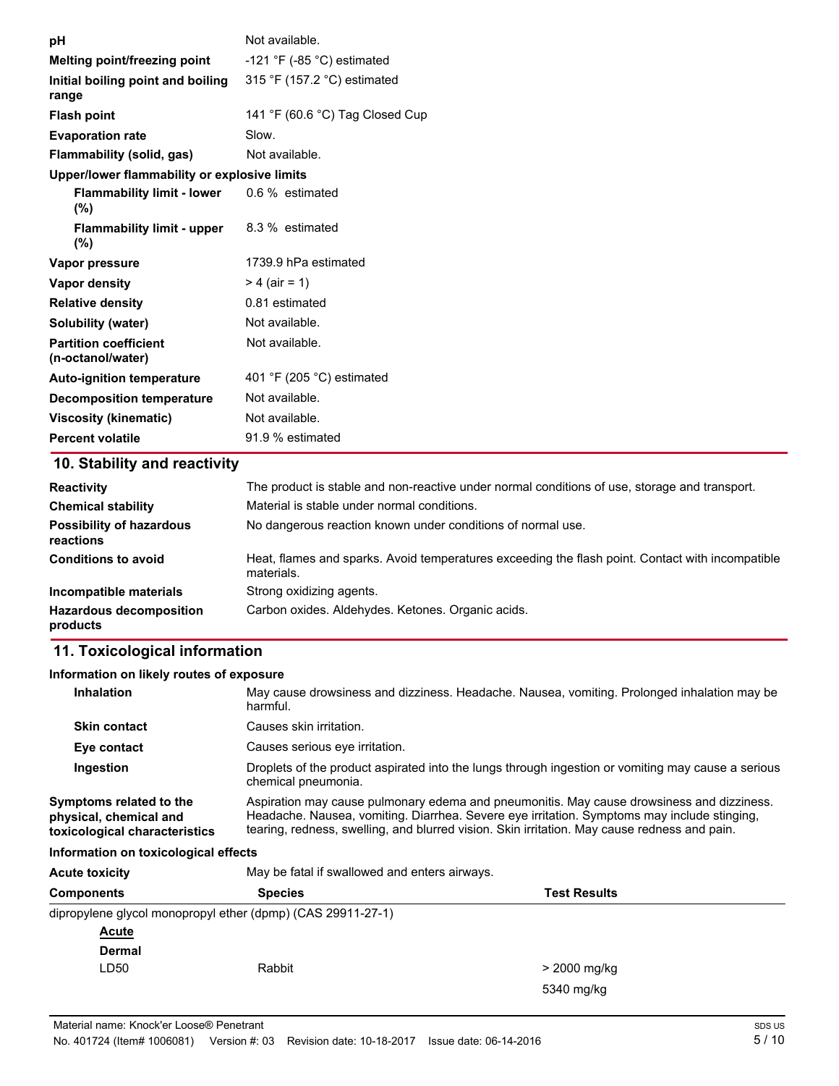| рH                                                | Not available.                                                                                |
|---------------------------------------------------|-----------------------------------------------------------------------------------------------|
| Melting point/freezing point                      | -121 °F (-85 °C) estimated                                                                    |
| Initial boiling point and boiling<br>range        | 315 °F (157.2 °C) estimated                                                                   |
| <b>Flash point</b>                                | 141 °F (60.6 °C) Tag Closed Cup                                                               |
| <b>Evaporation rate</b>                           | Slow.                                                                                         |
| <b>Flammability (solid, gas)</b>                  | Not available.                                                                                |
| Upper/lower flammability or explosive limits      |                                                                                               |
| <b>Flammability limit - lower</b><br>(%)          | 0.6 % estimated                                                                               |
| <b>Flammability limit - upper</b><br>$(\%)$       | 8.3 % estimated                                                                               |
| Vapor pressure                                    | 1739.9 hPa estimated                                                                          |
| Vapor density                                     | $> 4$ (air = 1)                                                                               |
| <b>Relative density</b>                           | 0.81 estimated                                                                                |
| <b>Solubility (water)</b>                         | Not available.                                                                                |
| <b>Partition coefficient</b><br>(n-octanol/water) | Not available.                                                                                |
| <b>Auto-ignition temperature</b>                  | 401 °F (205 °C) estimated                                                                     |
| <b>Decomposition temperature</b>                  | Not available.                                                                                |
| <b>Viscosity (kinematic)</b>                      | Not available.                                                                                |
| <b>Percent volatile</b>                           | 91.9 % estimated                                                                              |
| 10. Stability and reactivity                      |                                                                                               |
| <b>Designation</b>                                | The number is stable and near reading under personal conditions of use, starses and transport |

| <b>Reactivity</b>                            | The product is stable and non-reactive under normal conditions of use, storage and transport.                  |
|----------------------------------------------|----------------------------------------------------------------------------------------------------------------|
| <b>Chemical stability</b>                    | Material is stable under normal conditions.                                                                    |
| <b>Possibility of hazardous</b><br>reactions | No dangerous reaction known under conditions of normal use.                                                    |
| <b>Conditions to avoid</b>                   | Heat, flames and sparks. Avoid temperatures exceeding the flash point. Contact with incompatible<br>materials. |
| Incompatible materials                       | Strong oxidizing agents.                                                                                       |
| <b>Hazardous decomposition</b><br>products   | Carbon oxides. Aldehydes. Ketones. Organic acids.                                                              |

## **11. Toxicological information**

# **Information on likely routes of exposure**

| <b>Inhalation</b>                                                                  | May cause drowsiness and dizziness. Headache. Nausea, vomiting. Prolonged inhalation may be<br>harmful.                                                                                                                                                                                  |
|------------------------------------------------------------------------------------|------------------------------------------------------------------------------------------------------------------------------------------------------------------------------------------------------------------------------------------------------------------------------------------|
| <b>Skin contact</b>                                                                | Causes skin irritation.                                                                                                                                                                                                                                                                  |
| Eye contact                                                                        | Causes serious eye irritation.                                                                                                                                                                                                                                                           |
| Ingestion                                                                          | Droplets of the product aspirated into the lungs through ingestion or vomiting may cause a serious<br>chemical pneumonia.                                                                                                                                                                |
| Symptoms related to the<br>physical, chemical and<br>toxicological characteristics | Aspiration may cause pulmonary edema and pneumonitis. May cause drowsiness and dizziness.<br>Headache. Nausea, vomiting. Diarrhea. Severe eye irritation. Symptoms may include stinging.<br>tearing, redness, swelling, and blurred vision. Skin irritation. May cause redness and pain. |

### **Information on toxicological effects**

| <b>Acute toxicity</b> | May be fatal if swallowed and enters airways.               |                     |  |
|-----------------------|-------------------------------------------------------------|---------------------|--|
| <b>Components</b>     | <b>Species</b>                                              | <b>Test Results</b> |  |
|                       | dipropylene glycol monopropyl ether (dpmp) (CAS 29911-27-1) |                     |  |
| <b>Acute</b>          |                                                             |                     |  |
| <b>Dermal</b>         |                                                             |                     |  |
| LD <sub>50</sub>      | Rabbit                                                      | > 2000 mg/kg        |  |
|                       |                                                             | 5340 mg/kg          |  |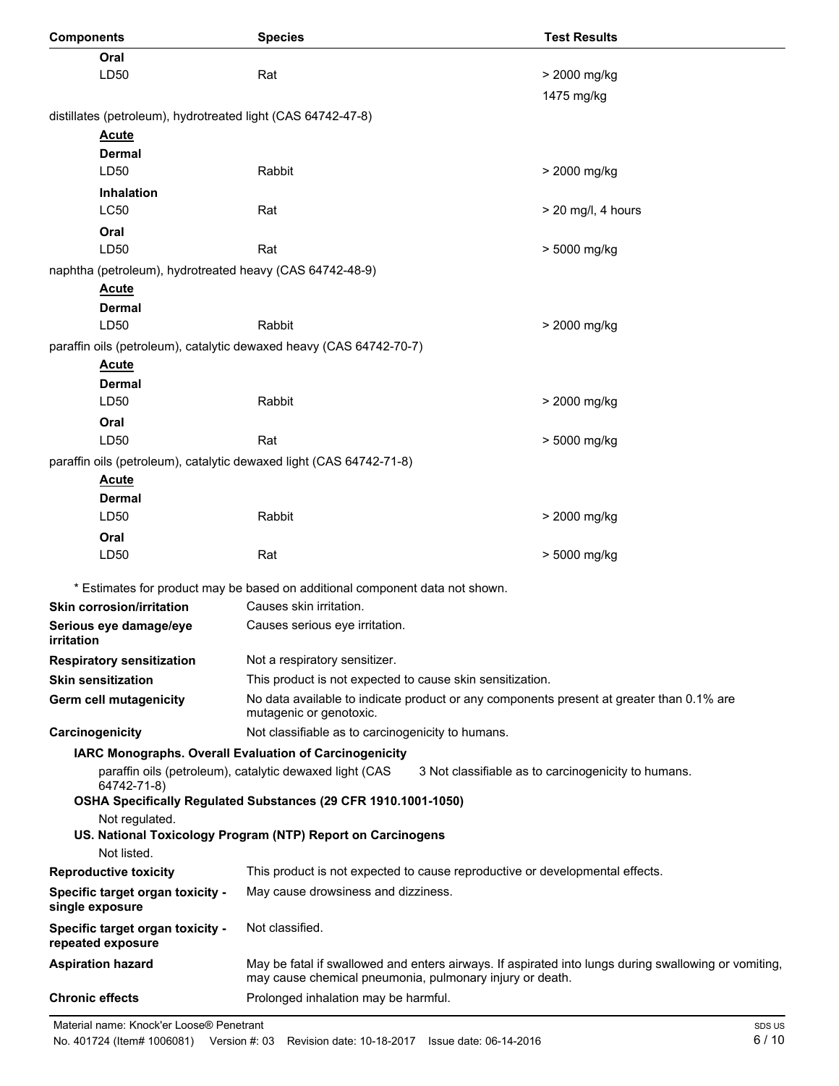| <b>Components</b>                                                   | <b>Species</b>                                                                                                                                                   | <b>Test Results</b>                                 |
|---------------------------------------------------------------------|------------------------------------------------------------------------------------------------------------------------------------------------------------------|-----------------------------------------------------|
| Oral                                                                |                                                                                                                                                                  |                                                     |
| LD50                                                                | Rat                                                                                                                                                              | > 2000 mg/kg                                        |
|                                                                     |                                                                                                                                                                  | 1475 mg/kg                                          |
| distillates (petroleum), hydrotreated light (CAS 64742-47-8)        |                                                                                                                                                                  |                                                     |
| <b>Acute</b>                                                        |                                                                                                                                                                  |                                                     |
| <b>Dermal</b>                                                       |                                                                                                                                                                  |                                                     |
| LD50                                                                | Rabbit                                                                                                                                                           | > 2000 mg/kg                                        |
| <b>Inhalation</b>                                                   |                                                                                                                                                                  |                                                     |
| <b>LC50</b>                                                         | Rat                                                                                                                                                              | $>$ 20 mg/l, 4 hours                                |
| Oral                                                                |                                                                                                                                                                  |                                                     |
| LD50                                                                | Rat                                                                                                                                                              | > 5000 mg/kg                                        |
| naphtha (petroleum), hydrotreated heavy (CAS 64742-48-9)            |                                                                                                                                                                  |                                                     |
| <b>Acute</b><br><b>Dermal</b>                                       |                                                                                                                                                                  |                                                     |
| LD50                                                                | Rabbit                                                                                                                                                           | > 2000 mg/kg                                        |
| paraffin oils (petroleum), catalytic dewaxed heavy (CAS 64742-70-7) |                                                                                                                                                                  |                                                     |
| <b>Acute</b>                                                        |                                                                                                                                                                  |                                                     |
| Dermal                                                              |                                                                                                                                                                  |                                                     |
| LD50                                                                | Rabbit                                                                                                                                                           | > 2000 mg/kg                                        |
| Oral                                                                |                                                                                                                                                                  |                                                     |
| LD50                                                                | Rat                                                                                                                                                              | > 5000 mg/kg                                        |
| paraffin oils (petroleum), catalytic dewaxed light (CAS 64742-71-8) |                                                                                                                                                                  |                                                     |
| <b>Acute</b>                                                        |                                                                                                                                                                  |                                                     |
| Dermal                                                              |                                                                                                                                                                  |                                                     |
| LD50                                                                | Rabbit                                                                                                                                                           | > 2000 mg/kg                                        |
| Oral                                                                |                                                                                                                                                                  |                                                     |
| LD50                                                                | Rat                                                                                                                                                              | > 5000 mg/kg                                        |
|                                                                     | * Estimates for product may be based on additional component data not shown.                                                                                     |                                                     |
| <b>Skin corrosion/irritation</b>                                    | Causes skin irritation.                                                                                                                                          |                                                     |
| Serious eye damage/eye<br>irritation                                | Causes serious eye irritation.                                                                                                                                   |                                                     |
| <b>Respiratory sensitization</b>                                    | Not a respiratory sensitizer.                                                                                                                                    |                                                     |
| <b>Skin sensitization</b>                                           | This product is not expected to cause skin sensitization.                                                                                                        |                                                     |
| Germ cell mutagenicity                                              | No data available to indicate product or any components present at greater than 0.1% are<br>mutagenic or genotoxic.                                              |                                                     |
| Carcinogenicity                                                     | Not classifiable as to carcinogenicity to humans.                                                                                                                |                                                     |
|                                                                     | IARC Monographs. Overall Evaluation of Carcinogenicity                                                                                                           |                                                     |
| 64742-71-8)                                                         | paraffin oils (petroleum), catalytic dewaxed light (CAS                                                                                                          | 3 Not classifiable as to carcinogenicity to humans. |
|                                                                     | OSHA Specifically Regulated Substances (29 CFR 1910.1001-1050)                                                                                                   |                                                     |
| Not regulated.                                                      |                                                                                                                                                                  |                                                     |
| Not listed.                                                         | US. National Toxicology Program (NTP) Report on Carcinogens                                                                                                      |                                                     |
| <b>Reproductive toxicity</b>                                        | This product is not expected to cause reproductive or developmental effects.                                                                                     |                                                     |
| Specific target organ toxicity -                                    | May cause drowsiness and dizziness.                                                                                                                              |                                                     |
| single exposure                                                     |                                                                                                                                                                  |                                                     |
| Specific target organ toxicity -<br>repeated exposure               | Not classified.                                                                                                                                                  |                                                     |
| <b>Aspiration hazard</b>                                            | May be fatal if swallowed and enters airways. If aspirated into lungs during swallowing or vomiting,<br>may cause chemical pneumonia, pulmonary injury or death. |                                                     |
| <b>Chronic effects</b>                                              | Prolonged inhalation may be harmful.                                                                                                                             |                                                     |

Material name: Knock'er Loose® Penetrant

No. 401724 (Item# 1006081) Version #: 03 Revision date: 10-18-2017 Issue date: 06-14-2016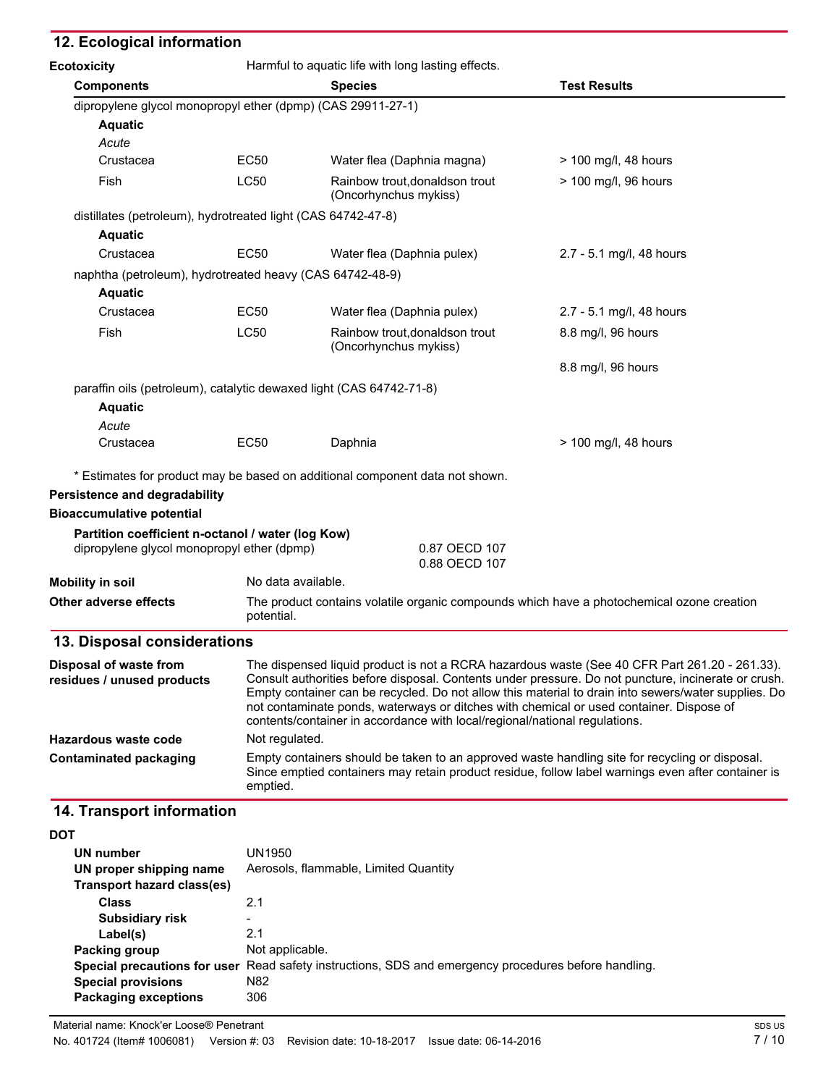## **12. Ecological information**

| <b>Ecotoxicity</b>                                                                              |                    | Harmful to aquatic life with long lasting effects.                                                                                                                                                                                                                                                                                                                                                                                                                                   |                                                                                                |  |  |
|-------------------------------------------------------------------------------------------------|--------------------|--------------------------------------------------------------------------------------------------------------------------------------------------------------------------------------------------------------------------------------------------------------------------------------------------------------------------------------------------------------------------------------------------------------------------------------------------------------------------------------|------------------------------------------------------------------------------------------------|--|--|
| <b>Components</b>                                                                               |                    | <b>Species</b>                                                                                                                                                                                                                                                                                                                                                                                                                                                                       | <b>Test Results</b>                                                                            |  |  |
| dipropylene glycol monopropyl ether (dpmp) (CAS 29911-27-1)                                     |                    |                                                                                                                                                                                                                                                                                                                                                                                                                                                                                      |                                                                                                |  |  |
| <b>Aquatic</b>                                                                                  |                    |                                                                                                                                                                                                                                                                                                                                                                                                                                                                                      |                                                                                                |  |  |
| Acute                                                                                           |                    |                                                                                                                                                                                                                                                                                                                                                                                                                                                                                      |                                                                                                |  |  |
| Crustacea                                                                                       | <b>EC50</b>        | Water flea (Daphnia magna)                                                                                                                                                                                                                                                                                                                                                                                                                                                           | > 100 mg/l, 48 hours                                                                           |  |  |
| Fish                                                                                            | <b>LC50</b>        | Rainbow trout, donaldson trout<br>(Oncorhynchus mykiss)                                                                                                                                                                                                                                                                                                                                                                                                                              | > 100 mg/l, 96 hours                                                                           |  |  |
| distillates (petroleum), hydrotreated light (CAS 64742-47-8)                                    |                    |                                                                                                                                                                                                                                                                                                                                                                                                                                                                                      |                                                                                                |  |  |
| <b>Aquatic</b>                                                                                  |                    |                                                                                                                                                                                                                                                                                                                                                                                                                                                                                      |                                                                                                |  |  |
| Crustacea                                                                                       | EC50               | Water flea (Daphnia pulex)                                                                                                                                                                                                                                                                                                                                                                                                                                                           | 2.7 - 5.1 mg/l, 48 hours                                                                       |  |  |
| naphtha (petroleum), hydrotreated heavy (CAS 64742-48-9)                                        |                    |                                                                                                                                                                                                                                                                                                                                                                                                                                                                                      |                                                                                                |  |  |
| <b>Aquatic</b>                                                                                  |                    |                                                                                                                                                                                                                                                                                                                                                                                                                                                                                      |                                                                                                |  |  |
| Crustacea                                                                                       | <b>EC50</b>        | Water flea (Daphnia pulex)                                                                                                                                                                                                                                                                                                                                                                                                                                                           | 2.7 - 5.1 mg/l, 48 hours                                                                       |  |  |
| Fish                                                                                            | <b>LC50</b>        | Rainbow trout, donaldson trout<br>(Oncorhynchus mykiss)                                                                                                                                                                                                                                                                                                                                                                                                                              | 8.8 mg/l, 96 hours                                                                             |  |  |
|                                                                                                 |                    |                                                                                                                                                                                                                                                                                                                                                                                                                                                                                      | 8.8 mg/l, 96 hours                                                                             |  |  |
| paraffin oils (petroleum), catalytic dewaxed light (CAS 64742-71-8)                             |                    |                                                                                                                                                                                                                                                                                                                                                                                                                                                                                      |                                                                                                |  |  |
| <b>Aquatic</b>                                                                                  |                    |                                                                                                                                                                                                                                                                                                                                                                                                                                                                                      |                                                                                                |  |  |
| Acute                                                                                           |                    |                                                                                                                                                                                                                                                                                                                                                                                                                                                                                      |                                                                                                |  |  |
| Crustacea                                                                                       | EC50               | Daphnia                                                                                                                                                                                                                                                                                                                                                                                                                                                                              | > 100 mg/l, 48 hours                                                                           |  |  |
|                                                                                                 |                    | * Estimates for product may be based on additional component data not shown.                                                                                                                                                                                                                                                                                                                                                                                                         |                                                                                                |  |  |
| Persistence and degradability                                                                   |                    |                                                                                                                                                                                                                                                                                                                                                                                                                                                                                      |                                                                                                |  |  |
| <b>Bioaccumulative potential</b>                                                                |                    |                                                                                                                                                                                                                                                                                                                                                                                                                                                                                      |                                                                                                |  |  |
| Partition coefficient n-octanol / water (log Kow)<br>dipropylene glycol monopropyl ether (dpmp) |                    | 0.87 OECD 107                                                                                                                                                                                                                                                                                                                                                                                                                                                                        |                                                                                                |  |  |
|                                                                                                 |                    | 0.88 OECD 107                                                                                                                                                                                                                                                                                                                                                                                                                                                                        |                                                                                                |  |  |
| <b>Mobility in soil</b>                                                                         | No data available. |                                                                                                                                                                                                                                                                                                                                                                                                                                                                                      |                                                                                                |  |  |
| Other adverse effects                                                                           | potential.         |                                                                                                                                                                                                                                                                                                                                                                                                                                                                                      | The product contains volatile organic compounds which have a photochemical ozone creation      |  |  |
| 13. Disposal considerations                                                                     |                    |                                                                                                                                                                                                                                                                                                                                                                                                                                                                                      |                                                                                                |  |  |
| Disposal of waste from<br>residues / unused products                                            |                    | The dispensed liquid product is not a RCRA hazardous waste (See 40 CFR Part 261.20 - 261.33).<br>Consult authorities before disposal. Contents under pressure. Do not puncture, incinerate or crush.<br>Empty container can be recycled. Do not allow this material to drain into sewers/water supplies. Do<br>not contaminate ponds, waterways or ditches with chemical or used container. Dispose of<br>contents/container in accordance with local/regional/national regulations. |                                                                                                |  |  |
| Hazardous waste code                                                                            | Not regulated.     |                                                                                                                                                                                                                                                                                                                                                                                                                                                                                      |                                                                                                |  |  |
| <b>Contaminated packaging</b>                                                                   |                    |                                                                                                                                                                                                                                                                                                                                                                                                                                                                                      | Empty containers should be taken to an approved waste handling site for recycling or disposal. |  |  |

Since emptied containers may retain product residue, follow label warnings even after container is

## **14. Transport information**

| UN1950                                                                                               |
|------------------------------------------------------------------------------------------------------|
| Aerosols, flammable, Limited Quantity                                                                |
|                                                                                                      |
| 2.1                                                                                                  |
|                                                                                                      |
| 2.1                                                                                                  |
| Not applicable.                                                                                      |
| Special precautions for user Read safety instructions, SDS and emergency procedures before handling. |
| N <sub>82</sub>                                                                                      |
| 306                                                                                                  |
|                                                                                                      |

emptied.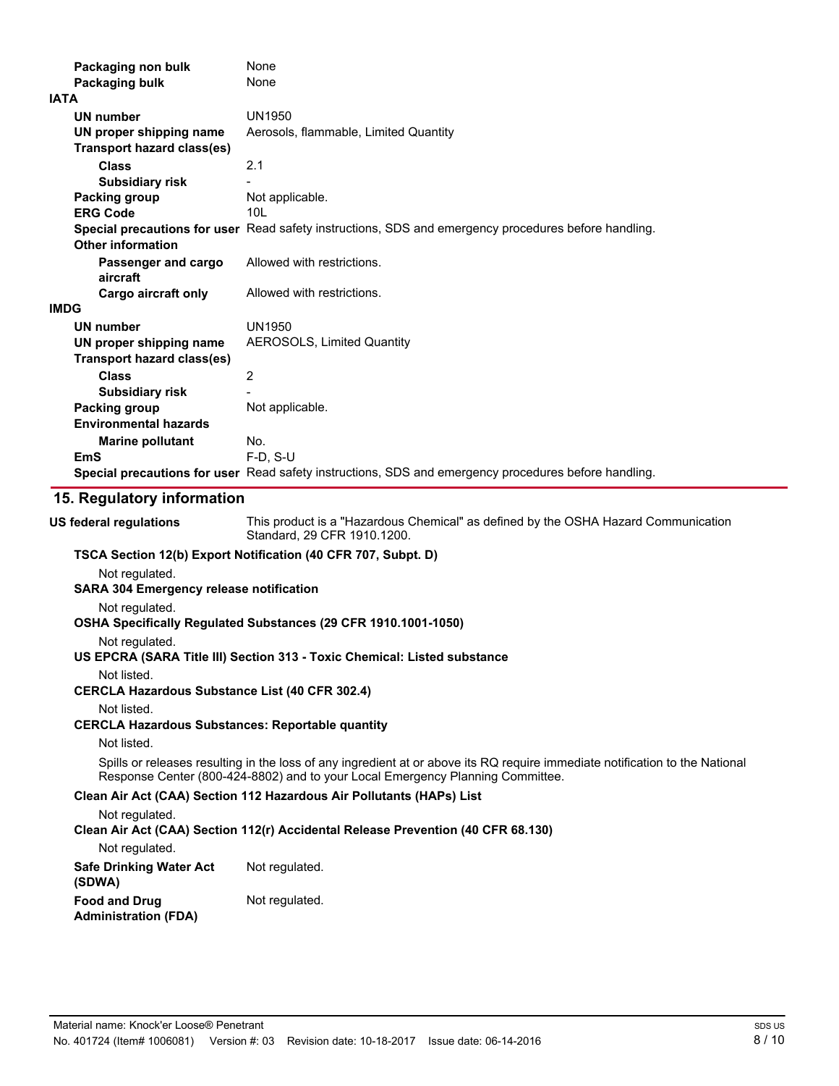| Packaging non bulk                | None                                                                                                 |
|-----------------------------------|------------------------------------------------------------------------------------------------------|
| Packaging bulk                    | None                                                                                                 |
| <b>IATA</b>                       |                                                                                                      |
| <b>UN number</b>                  | <b>UN1950</b>                                                                                        |
| UN proper shipping name           | Aerosols, flammable, Limited Quantity                                                                |
| <b>Transport hazard class(es)</b> |                                                                                                      |
| <b>Class</b>                      | 2.1                                                                                                  |
| <b>Subsidiary risk</b>            |                                                                                                      |
| Packing group                     | Not applicable.                                                                                      |
| <b>ERG Code</b>                   | 10 <sub>L</sub>                                                                                      |
|                                   | Special precautions for user Read safety instructions, SDS and emergency procedures before handling. |
| <b>Other information</b>          |                                                                                                      |
| Passenger and cargo<br>aircraft   | Allowed with restrictions.                                                                           |
| Cargo aircraft only               | Allowed with restrictions.                                                                           |
| <b>IMDG</b>                       |                                                                                                      |
| <b>UN number</b>                  | UN1950                                                                                               |
| UN proper shipping name           | <b>AEROSOLS, Limited Quantity</b>                                                                    |
| <b>Transport hazard class(es)</b> |                                                                                                      |
| <b>Class</b>                      | 2                                                                                                    |
| <b>Subsidiary risk</b>            |                                                                                                      |
| <b>Packing group</b>              | Not applicable.                                                                                      |
| <b>Environmental hazards</b>      |                                                                                                      |
| <b>Marine pollutant</b>           | No.                                                                                                  |
| <b>EmS</b>                        | F-D. S-U                                                                                             |
|                                   | Special precautions for user Read safety instructions, SDS and emergency procedures before handling. |
| 15 Requision information          |                                                                                                      |

#### **15. Regulatory information**

**US federal regulations**

This product is a "Hazardous Chemical" as defined by the OSHA Hazard Communication Standard, 29 CFR 1910.1200.

#### **TSCA Section 12(b) Export Notification (40 CFR 707, Subpt. D)**

Not regulated.

#### **SARA 304 Emergency release notification**

#### Not regulated.

#### **OSHA Specifically Regulated Substances (29 CFR 1910.1001-1050)**

Not regulated.

## **US EPCRA (SARA Title III) Section 313 - Toxic Chemical: Listed substance**

Not listed.

## **CERCLA Hazardous Substance List (40 CFR 302.4)**

Not listed.

## **CERCLA Hazardous Substances: Reportable quantity**

### Not listed.

Spills or releases resulting in the loss of any ingredient at or above its RQ require immediate notification to the National Response Center (800-424-8802) and to your Local Emergency Planning Committee.

## **Clean Air Act (CAA) Section 112 Hazardous Air Pollutants (HAPs) List**

### Not regulated.

**Clean Air Act (CAA) Section 112(r) Accidental Release Prevention (40 CFR 68.130)**

Not regulated.

### **Safe Drinking Water Act** Not regulated. **(SDWA) Food and Drug** Not regulated.

**Administration (FDA)**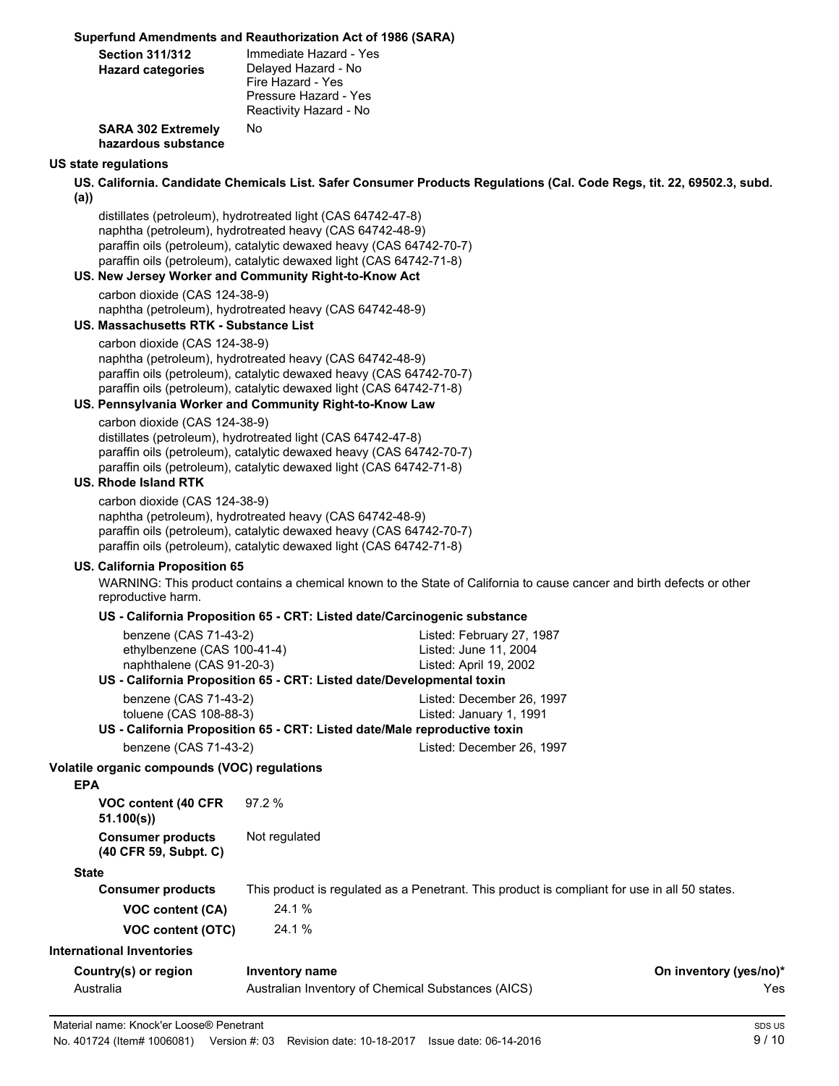#### **Superfund Amendments and Reauthorization Act of 1986 (SARA)**

| <b>Section 311/312</b><br><b>Hazard categories</b> | Immediate Hazard - Yes<br>Delayed Hazard - No<br>Fire Hazard - Yes<br>Pressure Hazard - Yes<br>Reactivity Hazard - No |
|----------------------------------------------------|-----------------------------------------------------------------------------------------------------------------------|
| <b>SARA 302 Extremely</b><br>hazardous substance   | No.                                                                                                                   |
| <b>US state regulations</b>                        |                                                                                                                       |

**US. California. Candidate Chemicals List. Safer Consumer Products Regulations (Cal. Code Regs, tit. 22, 69502.3, subd.**

**(a))** distillates (petroleum), hydrotreated light (CAS 64742-47-8) naphtha (petroleum), hydrotreated heavy (CAS 64742-48-9) paraffin oils (petroleum), catalytic dewaxed heavy (CAS 64742-70-7) paraffin oils (petroleum), catalytic dewaxed light (CAS 64742-71-8)

**US. New Jersey Worker and Community Right-to-Know Act** carbon dioxide (CAS 124-38-9)

naphtha (petroleum), hydrotreated heavy (CAS 64742-48-9)

#### **US. Massachusetts RTK - Substance List**

carbon dioxide (CAS 124-38-9) naphtha (petroleum), hydrotreated heavy (CAS 64742-48-9) paraffin oils (petroleum), catalytic dewaxed heavy (CAS 64742-70-7) paraffin oils (petroleum), catalytic dewaxed light (CAS 64742-71-8)

#### **US. Pennsylvania Worker and Community Right-to-Know Law**

carbon dioxide (CAS 124-38-9) distillates (petroleum), hydrotreated light (CAS 64742-47-8) paraffin oils (petroleum), catalytic dewaxed heavy (CAS 64742-70-7) paraffin oils (petroleum), catalytic dewaxed light (CAS 64742-71-8)

#### **US. Rhode Island RTK**

carbon dioxide (CAS 124-38-9) naphtha (petroleum), hydrotreated heavy (CAS 64742-48-9) paraffin oils (petroleum), catalytic dewaxed heavy (CAS 64742-70-7) paraffin oils (petroleum), catalytic dewaxed light (CAS 64742-71-8)

#### **US. California Proposition 65**

WARNING: This product contains a chemical known to the State of California to cause cancer and birth defects or other reproductive harm.

#### **US - California Proposition 65 - CRT: Listed date/Carcinogenic substance**

| benzene (CAS 71-43-2)<br>ethylbenzene (CAS 100-41-4) |                                                                           | Listed: February 27, 1987<br>Listed: June 11, 2004                                            |                               |  |
|------------------------------------------------------|---------------------------------------------------------------------------|-----------------------------------------------------------------------------------------------|-------------------------------|--|
| naphthalene (CAS 91-20-3)                            |                                                                           | Listed: April 19, 2002                                                                        |                               |  |
|                                                      | US - California Proposition 65 - CRT: Listed date/Developmental toxin     |                                                                                               |                               |  |
| benzene (CAS 71-43-2)                                |                                                                           | Listed: December 26, 1997                                                                     |                               |  |
|                                                      | toluene (CAS 108-88-3)                                                    |                                                                                               | Listed: January 1, 1991       |  |
|                                                      | US - California Proposition 65 - CRT: Listed date/Male reproductive toxin |                                                                                               |                               |  |
| benzene (CAS 71-43-2)                                |                                                                           | Listed: December 26, 1997                                                                     |                               |  |
| Volatile organic compounds (VOC) regulations         |                                                                           |                                                                                               |                               |  |
| <b>EPA</b>                                           |                                                                           |                                                                                               |                               |  |
| VOC content (40 CFR)<br>51.100(s)                    | 97.2 %                                                                    |                                                                                               |                               |  |
| <b>Consumer products</b><br>(40 CFR 59, Subpt. C)    | Not regulated                                                             |                                                                                               |                               |  |
| <b>State</b>                                         |                                                                           |                                                                                               |                               |  |
| <b>Consumer products</b>                             |                                                                           | This product is regulated as a Penetrant. This product is compliant for use in all 50 states. |                               |  |
| <b>VOC content (CA)</b>                              | 24.1 %                                                                    |                                                                                               |                               |  |
| <b>VOC content (OTC)</b>                             | 24.1 %                                                                    |                                                                                               |                               |  |
| <b>International Inventories</b>                     |                                                                           |                                                                                               |                               |  |
| Country(s) or region<br>Australia                    | Inventory name<br>Australian Inventory of Chemical Substances (AICS)      |                                                                                               | On inventory (yes/no)*<br>Yes |  |